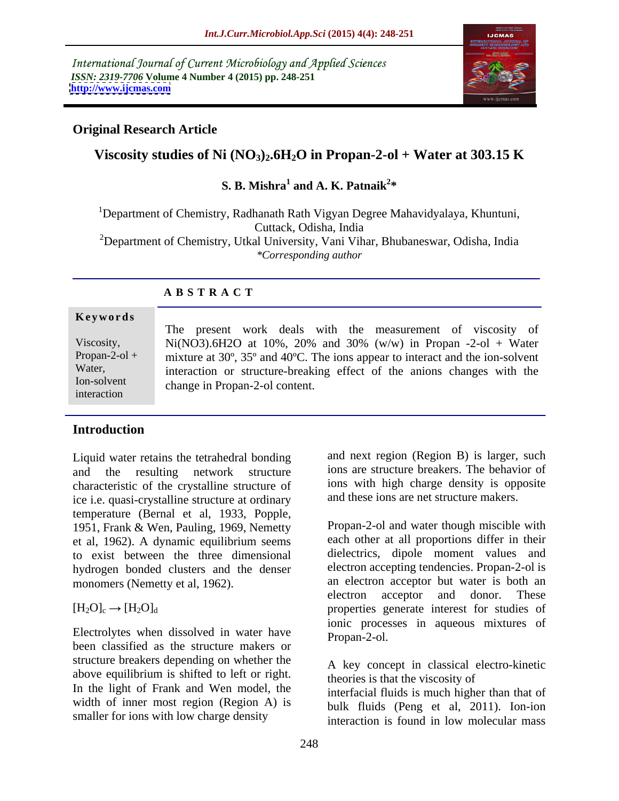International Journal of Current Microbiology and Applied Sciences *ISSN: 2319-7706* **Volume 4 Number 4 (2015) pp. 248-251 <http://www.ijcmas.com>**



# **Original Research Article**

# **Viscosity studies of Ni**  $\rm (NO_3)_2$ .6H<sub>2</sub>O in Propan-2-ol + Water at 303.15 K

### **S. B. Mishra<sup>1</sup> and A. K. Patnaik<sup>2\*</sup>** and A. K. Patnaik<sup>2\*</sup> **\***

<sup>1</sup>Department of Chemistry, Radhanath Rath Vigyan Degree Mahavidyalaya, Khuntuni, Cuttack, Odisha, India

<sup>2</sup>Department of Chemistry, Utkal University, Vani Vihar, Bhubaneswar, Odisha, India *\*Corresponding author*

## **A B S T R A C T**

### **Ke ywo rds**

interaction

The present work deals with the measurement of viscosity of Viscosity, Ni(NO3).6H2O at 10%, 20% and 30% (w/w) in Propan -2-ol + Water Propan-2-ol + mixture at 30°, 35° and 40°C. The ions appear to interact and the ion-solvent Water, interaction or structure-breaking effect of the anions changes with the change in Propan-2-ol content. Ion-solvent

# **Introduction**

Liquid water retains the tetrahedral bonding and the resulting network structure ions are structure breakers. The behavior of characteristic of the crystalline structure of ice i.e. quasi-crystalline structure at ordinary temperature (Bernal et al, 1933, Popple, 1951, Frank & Wen, Pauling, 1969, Nemetty et al, 1962). A dynamic equilibrium seems to exist between the three dimensional hydrogen bonded clusters and the denser

Electrolytes when dissolved in water have Propan-2-ol. been classified as the structure makers or structure breakers depending on whether the above equilibrium is shifted to left or right. In the light of Frank and Wen model, the width of inner most region (Region A) is

and next region (Region B) is larger, such ions with high charge density is opposite and these ions are net structure makers.

monomers (Nemetty et al, 1962). an electron acceptor but water is both an electron acceptor and donor. These  $[H_2O]_c \rightarrow [H_2O]_d$  properties generate interest for studies of Propan-2-ol and water though miscible with each other at all proportions differ in their dielectrics, dipole moment values and electron accepting tendencies. Propan-2-ol is an electron acceptor but water is both an electron acceptor and donor. These ionic processes in aqueous mixtures of Propan-2-ol.

> A key concept in classical electro-kinetic theories is that the viscosity of

smaller for ions with low charge density<br>interaction is found in low molecular mass interfacial fluids is much higher than that of bulk fluids (Peng et al, 2011). Ion-ion interaction is found in low molecular mass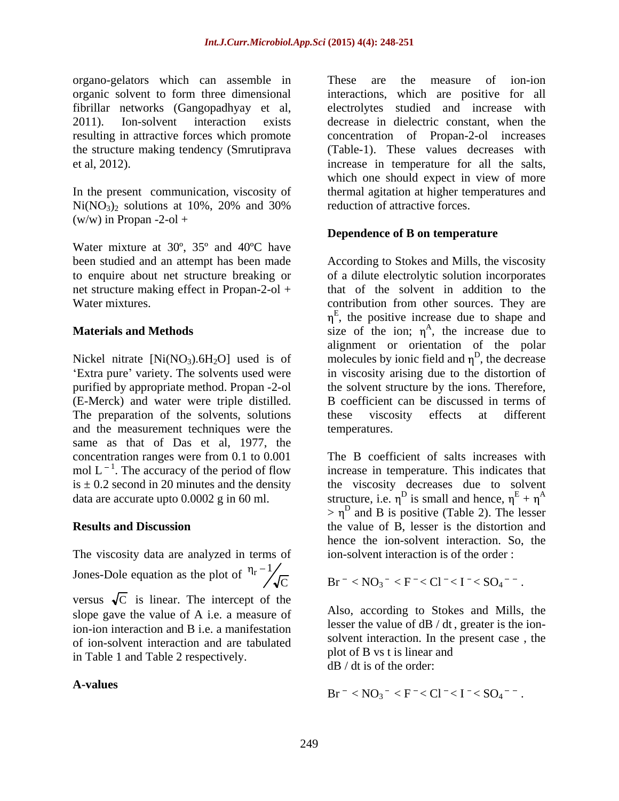organo-gelators which can assemble in organic solvent to form three dimensional interactions, which are positive for all fibrillar networks (Gangopadhyay et al, 2011). Ion-solvent interaction exists decrease in dielectric constant, when the resulting in attractive forces which promote concentration of Propan-2-ol increases the structure making tendency (Smrutiprava (Table-1). These values decreases with

 $Ni(NO<sub>3</sub>)<sub>2</sub>$  solutions at 10%, 20% and 30% reduction of attractive forces.  $(w/w)$  in Propan -2-ol +

Water mixture at 30º, 35º and 40ºC have

purified by appropriate method. Propan -2-ol the solvent structure by the ions. Therefore, (E-Merck) and water were triple distilled. B coefficient can be discussed in terms of The preparation of the solvents, solutions these viscosity effects at different and the measurement techniques were the same as that of Das et al, 1977, the concentration ranges were from 0.1 to 0.001 mol  $L^{-1}$ . The accuracy of the period of flow

The viscosity data are analyzed in terms of Jones-Dole equation as the plot of  $\eta_r - 1/\sqrt{C}$  $\frac{1}{2}$  r  $\frac{1}{2}$ versus  $\sqrt{C}$  is linear. The intercept of the slope gave the value of A i.e. a measure of ion-ion interaction and B i.e. a manifestation of ion-solvent interaction and are tabulated in Table 1 and Table 2 respectively.

et al, 2012). increase in temperature for all the salts, In the present communication, viscosity of thermal agitation at higher temperatures and These are the measure of ion-ion studied and increase with which one should expect in view of more reduction of attractive forces.

## **Dependence of B on temperature**

been studied and an attempt has been made According to Stokes and Mills, the viscosity to enquire about net structure breaking or of a dilute electrolytic solution incorporates net structure making effect in Propan-2-ol + that of the solvent in addition to the Water mixtures. contribution from other sources. They are **Materials and Methods** Size of the ion;  $\eta^A$ , the increase due to Nickel nitrate  $[Ni(NO<sub>3</sub>), 6H<sub>2</sub>O]$  used is of molecules by ionic field and  $\eta<sup>D</sup>$ , the decrease Extra pure' variety. The solvents used were in viscosity arising due to the distortion of <sup>E</sup>, the positive increase due to shape and  $A_{\text{the}}$  increase due to , the increase due to alignment or orientation of the polar , the decrease B coefficient can be discussed in terms of these viscosity effects at different temperatures.

mol  $L^{-1}$ . The accuracy of the period of flow increase in temperature. This indicates that is  $\pm$  0.2 second in 20 minutes and the density the viscosity decreases due to solvent data are accurate upto 0.0002 g in 60 ml. structure, i.e.  $\eta^D$  is small and hence,  $\eta^E + \eta^A$ **Results and Discussion** the value of B, lesser is the distortion and The B coefficient of salts increases with the viscosity decreases due to solvent structure, i.e.  $\eta^D$  is small and hence,  $\eta^E + \eta^A$  $+\eta^A$  $> \eta^D$  and B is positive (Table 2). The lesser hence the ion-solvent interaction. So, the ion-solvent interaction is of the order :

$$
\overline{C} \qquad \qquad \text{Br}^{-} < NO_3^- < F^- < Cl^- < I^- < SO_4^{--}.
$$

Also, according to Stokes and Mills, the lesser the value of dB / dt , greater is the ion solvent interaction. In the present case , the plot of B vs t is linear and dB / dt is of the order:

A-values 
$$
Br^- < NO_3^- < F^- < Cl^- < I^- < SO_4^{--}
$$
.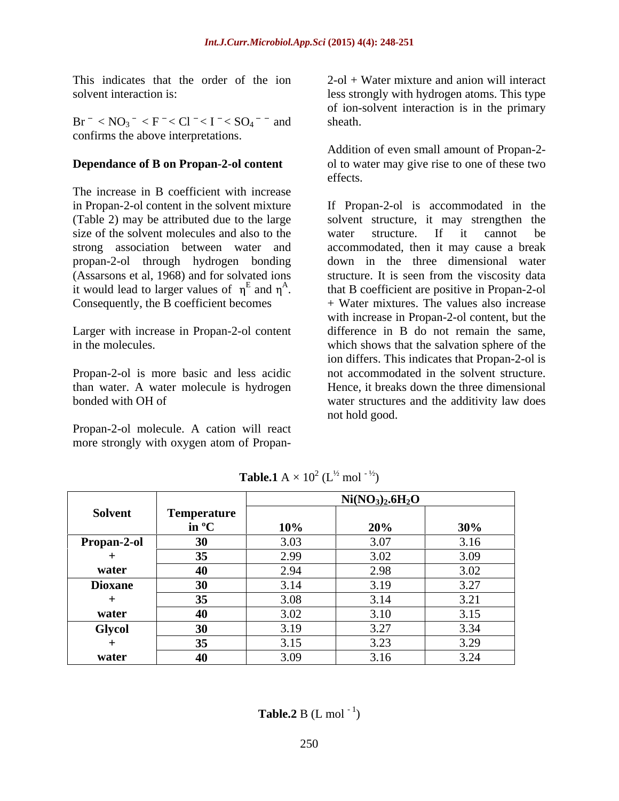This indicates that the order of the ion  $2$ -ol + Water mixture and anion will interact

 $Br^- < NO_3^- < F^- < Cl^- < I^- < SO_4^-$  and sheath. confirms the above interpretations.

### **Dependance of B on Propan-2-ol content**

The increase in B coefficient with increase size of the solvent molecules and also to the water structure. If it cannot be propan-2-ol through hydrogen bonding it would lead to larger values of  $\eta^E$  and  $\eta^A$ .

Larger with increase in Propan-2-ol content

Propan-2-ol molecule. A cation will react

solvent interaction is: less strongly with hydrogen atoms. This type of ion-solvent interaction is in the primary sheath.

> Addition of even small amount of Propan-2 ol to water may give rise to one of these two effects.

in Propan-2-ol content in the solvent mixture If Propan-2-ol is accommodated in the (Table 2) may be attributed due to the large solvent structure, it may strengthen the strong association between water and accommodated, then it may cause a break (Assarsons et al, 1968) and for solvated ions structure. It is seen from the viscosity data and  $\eta^A$ . that B coefficient are positive in Propan-2-ol it would lead to larger values of  $\eta^E$  and  $\eta^A$ . that B coefficient are positive in Propan-2-ol<br>Consequently, the B coefficient becomes  $+$  Water mixtures. The values also increase in the molecules. which shows that the salvation sphere of the Propan-2-ol is more basic and less acidic not accommodated in the solvent structure. than water. A water molecule is hydrogen Hence, it breaks down the three dimensional bonded with OH of water structures and the additivity law does This indicates that the order of the ion  $2-61$  Water mixture and anion will interact<br>
Solvent interaction is:<br>
Br < NO<sub>3</sub> < F < Cl < I < SO<sub>4</sub> and shealth.<br>
Br exhoust interaction is in the primary<br>
solvent interaction i water structure. If it cannot be down in the three dimensional water with increase in Propan-2-ol content, but the difference in B do not remain the same, ion differs. This indicates that Propan-2-ol is not hold good.

|                |                    | $Ni(NO3)2.6H2O$ |               |                           |  |
|----------------|--------------------|-----------------|---------------|---------------------------|--|
| Solvent        | <b>Temperature</b> |                 |               |                           |  |
|                | in $\rm ^{o}C$     | 10%             | 20%           | 30%                       |  |
| Propan-2-ol    |                    | 3.03            | 3.07          | 3.16                      |  |
|                |                    | 2.99            | 3.02          | 2.00                      |  |
| water          |                    | 201             | 2.98          | 3.02                      |  |
| <b>Dioxane</b> |                    | 3.14            | 3.19          | 227<br>J.ZI               |  |
|                |                    |                 | 3.14          | 2.21<br>J.L               |  |
| water          |                    | 200             | 3.10          | $\bigcap_{i=1}^n$<br>3.13 |  |
| <b>Glycol</b>  |                    |                 | 2.27          | 2.21                      |  |
|                |                    |                 | 2.22<br>1.4.1 | 2.20<br>5.27              |  |
| water          |                    | $ -$            | 216           | 2.21                      |  |

**Table.1** A  $\times$  10<sup>2</sup> (L<sup>1/2</sup> mol<sup>-1/2</sup>)  $(L^{\frac{1}{2}} \text{mol}^{-\frac{1}{2}})$  $mol<sup>-1/2</sup>$ )

**Table.2** B (L mol<sup>-1</sup>)